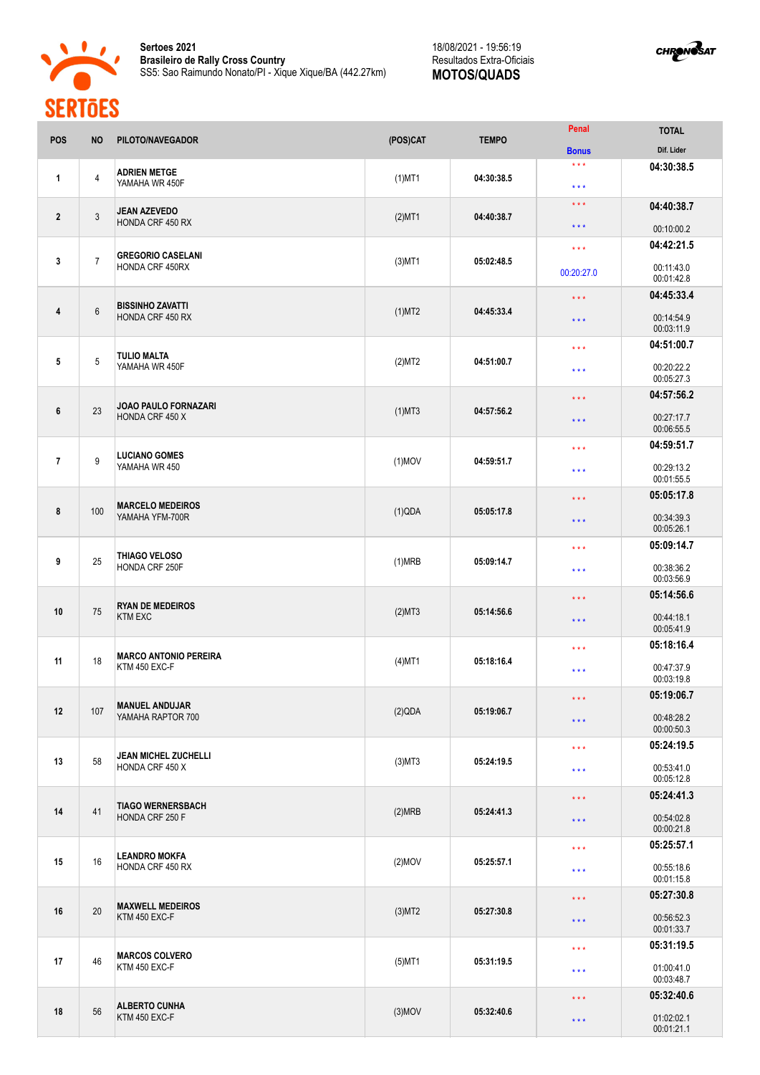



| <b>POS</b>     | <b>NO</b>      | PILOTO/NAVEGADOR                               | (POS)CAT  | <b>TEMPO</b>                                   | Penal                      | <b>TOTAL</b>             |
|----------------|----------------|------------------------------------------------|-----------|------------------------------------------------|----------------------------|--------------------------|
|                |                |                                                |           |                                                | <b>Bonus</b>               | Dif. Lider               |
| 1              | $\overline{4}$ | <b>ADRIEN METGE</b><br>YAMAHA WR 450F          | $(1)$ MT1 | 04:30:38.5                                     | $***$<br>$\star\star\star$ | 04:30:38.5               |
| $\overline{2}$ | $\mathbf{3}$   | <b>JEAN AZEVEDO</b>                            |           |                                                | $\star\star\star$          | 04:40:38.7               |
|                |                | HONDA CRF 450 RX                               | $(2)$ MT1 | 04:40:38.7                                     | $***$                      | 00:10:00.2               |
|                |                |                                                |           |                                                | $\star\star\star$          | 04:42:21.5               |
| 3              | $\overline{7}$ | <b>GREGORIO CASELANI</b><br>HONDA CRF 450RX    | $(3)$ MT1 | 05:02:48.5                                     | 00:20:27.0                 | 00:11:43.0<br>00:01:42.8 |
|                |                |                                                |           |                                                | $\star\star\star$          | 04:45:33.4               |
| 4              | $6\,$          | <b>BISSINHO ZAVATTI</b><br>HONDA CRF 450 RX    | (1)MT2    | 04:45:33.4                                     | $\star \star \star$        | 00:14:54.9<br>00:03:11.9 |
|                |                |                                                |           |                                                | $\star\star\star$          | 04:51:00.7               |
| 5              | 5              | <b>TULIO MALTA</b><br>YAMAHA WR 450F           | (2)MT2    | 04:51:00.7                                     | $***$                      | 00:20:22.2<br>00:05:27.3 |
|                |                |                                                |           |                                                | $\star\star\star$          | 04:57:56.2               |
| 6              | 23             | <b>JOAO PAULO FORNAZARI</b><br>HONDA CRF 450 X | $(1)$ MT3 | 04:57:56.2                                     | $***$                      | 00:27:17.7<br>00:06:55.5 |
|                |                |                                                |           |                                                | $***$                      | 04:59:51.7               |
| $\overline{7}$ | 9              | <b>LUCIANO GOMES</b><br>YAMAHA WR 450          | $(1)$ MOV | 04:59:51.7                                     | $\star\star\star$          | 00:29:13.2<br>00:01:55.5 |
|                |                | <b>MARCELO MEDEIROS</b><br>YAMAHA YFM-700R     |           |                                                | $***$                      | 05:05:17.8               |
| 8              | 100            |                                                | (1)QDA    | 05:05:17.8                                     | $***$                      | 00:34:39.3<br>00:05:26.1 |
|                |                |                                                |           |                                                | $***$                      | 05:09:14.7               |
| 9              | 25             | THIAGO VELOSO<br>HONDA CRF 250F                | (1)MRB    | 05:09:14.7                                     | $***$                      | 00:38:36.2<br>00:03:56.9 |
|                |                |                                                |           |                                                | $\star\star\star$          | 05:14:56.6               |
| 10             | 75             | <b>RYAN DE MEDEIROS</b><br><b>KTM EXC</b>      | (2)MT3    | 05:14:56.6                                     | $\star$ $\star$ $\star$    | 00:44:18.1<br>00:05:41.9 |
|                | 18             | <b>MARCO ANTONIO PEREIRA</b><br>KTM 450 EXC-F  |           |                                                | $***$                      | 05:18:16.4               |
| 11             |                |                                                | $(4)$ MT1 | 05:18:16.4                                     | $\star$ $\star$ $\star$    | 00:47:37.9               |
|                |                |                                                |           |                                                |                            | 00:03:19.8               |
|                |                | <b>MANUEL ANDUJAR</b>                          |           |                                                | $\star$ $\star$ $\star$    | 05:19:06.7               |
| 12             | 107            | YAMAHA RAPTOR 700                              | (2)QDA    | 05:19:06.7                                     | $\star\star\star$          | 00:48:28.2<br>00:00:50.3 |
|                |                | JEAN MICHEL ZUCHELLI                           |           | $***$<br>05:24:19.5<br>$\star$ $\star$ $\star$ |                            | 05:24:19.5               |
| 13             | 58             | HONDA CRF 450 X                                | $(3)$ MT3 |                                                |                            | 00:53:41.0<br>00:05:12.8 |
|                | 41             | <b>TIAGO WERNERSBACH</b><br>HONDA CRF 250 F    |           |                                                | $\star\star\star$          | 05:24:41.3               |
| 14             |                |                                                | (2)MRB    | 05:24:41.3                                     | $***$                      | 00:54:02.8<br>00:00:21.8 |
|                | 16             | <b>LEANDRO MOKFA</b><br>HONDA CRF 450 RX       |           |                                                | $\star\star\star$          | 05:25:57.1               |
| 15             |                |                                                | $(2)$ MOV | 05:25:57.1                                     | * * *                      | 00:55:18.6<br>00:01:15.8 |
|                | 20             |                                                |           |                                                | $\star\star\star$          | 05:27:30.8               |
| 16             |                | <b>MAXWELL MEDEIROS</b><br>KTM 450 EXC-F       | $(3)$ MT2 | 05:27:30.8                                     | $\star$ $\star$ $\star$    | 00:56:52.3<br>00:01:33.7 |
|                |                |                                                |           |                                                | $\star\star\star$          | 05:31:19.5               |
| 17             | 46             | <b>MARCOS COLVERO</b><br>KTM 450 EXC-F         | $(5)$ MT1 | 05:31:19.5                                     | $\star$ $\star$ $\star$    | 01:00:41.0<br>00:03:48.7 |
|                | 56             | <b>ALBERTO CUNHA</b><br>KTM 450 EXC-F          |           |                                                | $\star\star\star$          | 05:32:40.6               |
| 18             |                |                                                | $(3)$ MOV | 05:32:40.6<br>$\star$ $\star$ $\star$          | 01:02:02.1<br>00:01:21.1   |                          |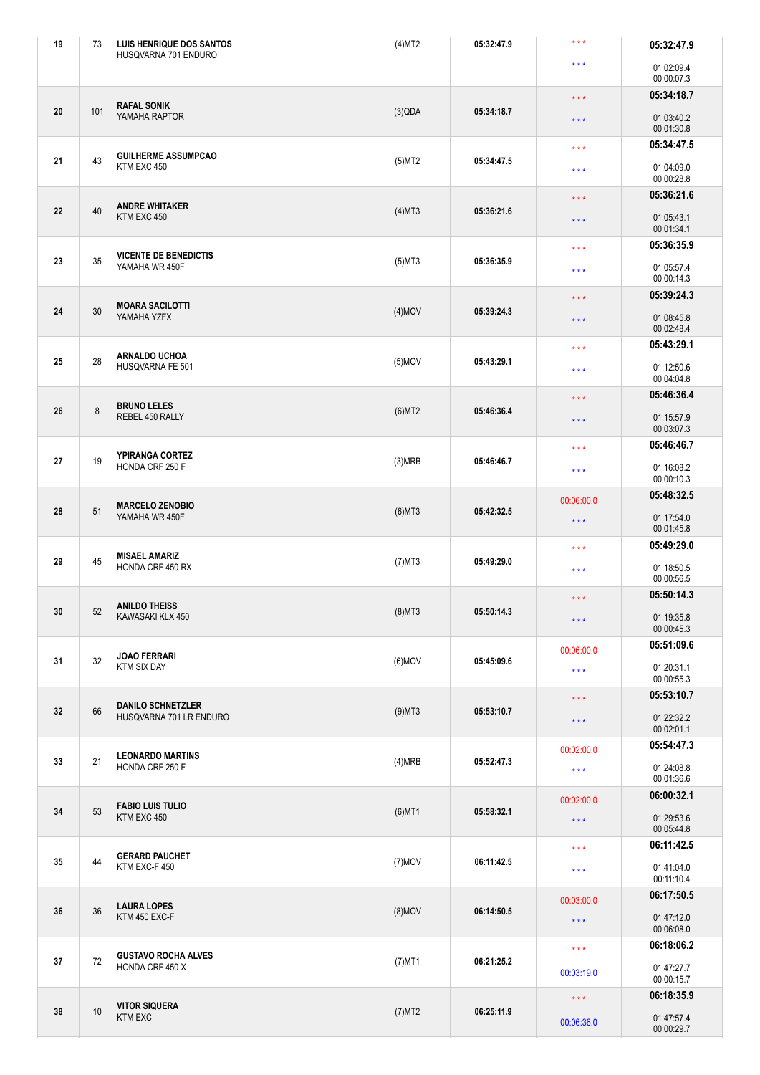| 19 | 73      | <b>LUIS HENRIQUE DOS SANTOS</b><br>HUSQVARNA 701 ENDURO | $(4)$ MT2 | 05:32:47.9 | $\star$ $\star$ $\star$         | 05:32:47.9               |
|----|---------|---------------------------------------------------------|-----------|------------|---------------------------------|--------------------------|
|    |         |                                                         |           |            | $\star\star\star$               | 01:02:09.4<br>00:00:07.3 |
|    |         |                                                         |           |            | $\star\star\star$               | 05:34:18.7               |
| 20 | 101     | <b>RAFAL SONIK</b><br>YAMAHA RAPTOR                     | (3)QDA    | 05:34:18.7 | $\star$ $\star$ $\star$         | 01:03:40.2<br>00:01:30.8 |
|    |         | <b>GUILHERME ASSUMPCAO</b>                              |           | 05:34:47.5 | $\star\star\star$               | 05:34:47.5               |
| 21 | 43      | KTM EXC 450                                             | $(5)$ MT2 |            | $\star\star\star$               | 01:04:09.0<br>00:00:28.8 |
|    |         | <b>ANDRE WHITAKER</b>                                   |           |            | $\star\star\star$               | 05:36:21.6               |
| 22 | 40      | KTM EXC 450                                             | $(4)$ MT3 | 05:36:21.6 | $\star$ $\star$ $\star$         | 01:05:43.1<br>00:01:34.1 |
| 23 | 35      | <b>VICENTE DE BENEDICTIS</b>                            |           | 05:36:35.9 | $* * *$                         | 05:36:35.9               |
|    |         | YAMAHA WR 450F                                          | $(5)$ MT3 |            | $\star\star\star$               | 01:05:57.4<br>00:00:14.3 |
|    |         | <b>MOARA SACILOTTI</b>                                  |           |            | $\star\star\star$               | 05:39:24.3               |
| 24 | 30      | YAMAHA YZFX                                             | $(4)$ MOV | 05:39:24.3 | $***$                           | 01:08:45.8<br>00:02:48.4 |
|    |         | <b>ARNALDO UCHOA</b>                                    |           |            | $\star\star\star$               | 05:43:29.1               |
| 25 | 28      | HUSQVARNA FE 501                                        | $(5)$ MOV | 05:43:29.1 | $\star\star\star$               | 01:12:50.6<br>00:04:04.8 |
|    |         | <b>BRUNO LELES</b>                                      |           |            | $\star$ $\star$ $\star$         | 05:46:36.4               |
| 26 | $\bf 8$ | REBEL 450 RALLY                                         | $(6)$ MT2 | 05:46:36.4 | $\star$ $\star$ $\star$         | 01:15:57.9<br>00:03:07.3 |
|    |         | YPIRANGA CORTEZ                                         |           |            | $\star\star\star$               | 05:46:46.7               |
| 27 | 19      | HONDA CRF 250 F                                         | (3)MRB    | 05:46:46.7 | $\star$ $\star$ $\star$         | 01:16:08.2<br>00:00:10.3 |
|    | 51      | <b>MARCELO ZENOBIO</b><br>YAMAHA WR 450F                |           |            | 00:06:00.0                      | 05:48:32.5               |
| 28 |         |                                                         | $(6)$ MT3 | 05:42:32.5 | $\star\star\star$               | 01:17:54.0<br>00:01:45.8 |
|    |         |                                                         |           |            |                                 | 05:49:29.0               |
|    |         |                                                         |           |            | $\star\star\star$               |                          |
| 29 | 45      | <b>MISAEL AMARIZ</b><br>HONDA CRF 450 RX                | $(7)$ MT3 | 05:49:29.0 | $\star$ $\star$ $\star$         | 01:18:50.5<br>00:00:56.5 |
|    |         |                                                         |           |            | $\star$ $\star$ $\star$         | 05:50:14.3               |
| 30 | 52      | <b>ANILDO THEISS</b><br>KAWASAKI KLX 450                | $(8)$ MT3 | 05:50:14.3 | $\star\star\star$               | 01:19:35.8<br>00:00:45.3 |
|    |         | <b>JOAO FERRARI</b>                                     |           |            | 00:06:00.0                      | 05:51:09.6               |
| 31 | 32      | <b>KTM SIX DAY</b>                                      | $(6)$ MOV | 05:45:09.6 | $\star\star\star$               | 01:20:31.1               |
|    |         |                                                         |           |            | $\star$ $\star$ $\star$         | 00:00:55.3<br>05:53:10.7 |
| 32 | 66      | <b>DANILO SCHNETZLER</b><br>HUSQVARNA 701 LR ENDURO     | $(9)$ MT3 | 05:53:10.7 | * * *                           | 01:22:32.2               |
|    |         |                                                         |           |            |                                 | 00:02:01.1               |
| 33 | 21      | <b>LEONARDO MARTINS</b><br>HONDA CRF 250 F              | (4)MRB    | 05:52:47.3 | 00:02:00.0<br>$\star\star\star$ | 05:54:47.3<br>01:24:08.8 |
|    |         |                                                         |           |            |                                 | 00:01:36.6               |
| 34 | 53      | <b>FABIO LUIS TULIO</b>                                 |           | 05:58:32.1 | 00:02:00.0                      | 06:00:32.1               |
|    |         | KTM EXC 450                                             | $(6)$ MT1 |            | $\star$ $\star$ $\star$         | 01:29:53.6<br>00:05:44.8 |
|    |         |                                                         |           |            | $\star\star\star$               | 06:11:42.5               |
| 35 | 44      | <b>GERARD PAUCHET</b><br>KTM EXC-F 450                  | $(7)$ MOV | 06:11:42.5 | $\star\star\star$               | 01:41:04.0<br>00:11:10.4 |
|    |         |                                                         |           |            | 00:03:00.0                      | 06:17:50.5               |
| 36 | 36      | <b>LAURA LOPES</b><br>KTM 450 EXC-F                     | $(8)$ MOV | 06:14:50.5 | $\star\star\star$               | 01:47:12.0<br>00:06:08.0 |
|    |         |                                                         |           |            | $\star$ $\star$ $\star$         | 06:18:06.2               |
| 37 | $72\,$  | <b>GUSTAVO ROCHA ALVES</b><br>HONDA CRF 450 X           | $(7)$ MT1 | 06:21:25.2 | 00:03:19.0                      | 01:47:27.7<br>00:00:15.7 |
|    | 10      | <b>VITOR SIQUERA</b>                                    | $(7)$ MT2 | 06:25:11.9 | $\star\star\star$               | 06:18:35.9               |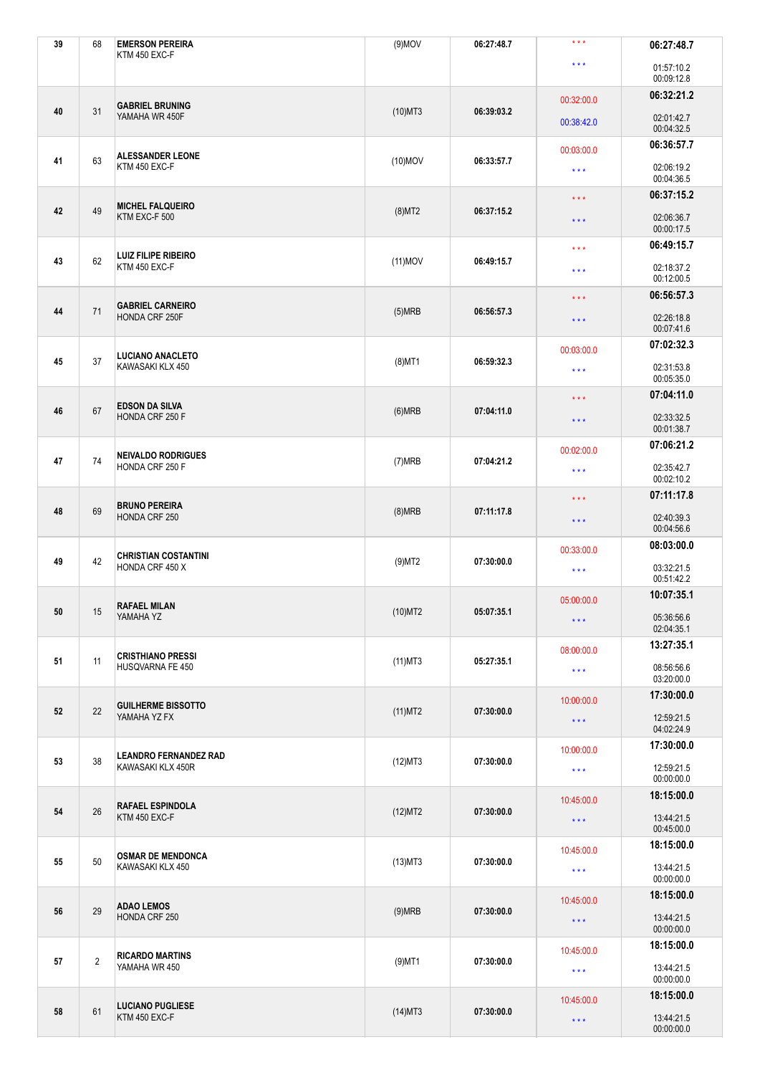| 39 | 68             | <b>EMERSON PEREIRA</b><br>KTM 450 EXC-F           | $(9)$ MOV  | 06:27:48.7 | $***$                                                                     | 06:27:48.7               |
|----|----------------|---------------------------------------------------|------------|------------|---------------------------------------------------------------------------|--------------------------|
|    |                |                                                   |            |            | $\star\star\star$                                                         | 01:57:10.2<br>00:09:12.8 |
|    |                |                                                   |            |            | 00:32:00.0                                                                | 06:32:21.2               |
| 40 | 31             | <b>GABRIEL BRUNING</b><br>YAMAHA WR 450F          | $(10)$ MT3 | 06:39:03.2 | 00:38:42.0                                                                | 02:01:42.7<br>00:04:32.5 |
|    |                | <b>ALESSANDER LEONE</b>                           |            |            | 00:03:00.0                                                                | 06:36:57.7               |
| 41 | 63             | KTM 450 EXC-F                                     | $(10)$ MOV | 06:33:57.7 | $\star\star\star$                                                         | 02:06:19.2<br>00:04:36.5 |
|    | 49             | <b>MICHEL FALQUEIRO</b>                           |            |            | $\star$ $\star$ $\star$                                                   | 06:37:15.2               |
| 42 |                | KTM EXC-F 500                                     | $(8)$ MT2  | 06:37:15.2 | $\star$ $\star$ $\star$                                                   | 02:06:36.7<br>00:00:17.5 |
|    |                | <b>LUIZ FILIPE RIBEIRO</b>                        |            |            | $\star\star\star$                                                         | 06:49:15.7               |
| 43 | 62             | KTM 450 EXC-F                                     | $(11)$ MOV | 06:49:15.7 | $\star$ $\star$ $\star$                                                   | 02:18:37.2<br>00:12:00.5 |
|    |                | <b>GABRIEL CARNEIRO</b>                           |            |            | $\star\star\star$                                                         | 06:56:57.3               |
| 44 | 71             | HONDA CRF 250F                                    | (5)MRB     | 06:56:57.3 | $\star$ $\star$ $\star$                                                   | 02:26:18.8<br>00:07:41.6 |
|    |                | <b>LUCIANO ANACLETO</b>                           |            |            | 07:02:32.3<br>00:03:00.0<br>02:31:53.8<br>$\star\star\star$<br>00:05:35.0 |                          |
| 45 | 37             | KAWASAKI KLX 450                                  | $(8)$ MT1  | 06:59:32.3 |                                                                           |                          |
|    |                | <b>EDSON DA SILVA</b>                             |            |            | $\star$ $\star$ $\star$                                                   | 07:04:11.0               |
| 46 | 67             | HONDA CRF 250 F                                   | (6)MRB     | 07:04:11.0 | $\star\star\star$                                                         | 02:33:32.5<br>00:01:38.7 |
|    |                | <b>NEIVALDO RODRIGUES</b>                         |            |            | 00:02:00.0                                                                | 07:06:21.2               |
| 47 | 74             | HONDA CRF 250 F                                   | (7)MRB     | 07:04:21.2 | $\star\star\star$                                                         | 02:35:42.7<br>00:02:10.2 |
|    | 69             | <b>BRUNO PEREIRA</b><br>HONDA CRF 250             |            |            | $\star$ $\star$ $\star$                                                   | 07:11:17.8               |
| 48 |                |                                                   | (8)MRB     | 07:11:17.8 | $\star\star\star$                                                         | 02:40:39.3<br>00:04:56.6 |
|    |                | <b>CHRISTIAN COSTANTINI</b>                       |            |            | 00:33:00.0                                                                | 08:03:00.0               |
| 49 | 42             | HONDA CRF 450 X                                   | $(9)$ MT2  | 07:30:00.0 | $\star\star\star$                                                         | 03:32:21.5<br>00:51:42.2 |
|    |                | <b>RAFAEL MILAN</b>                               |            |            | 05:00:00.0                                                                | 10:07:35.1               |
| 50 | 15             | YAMAHA YZ                                         | $(10)$ MT2 | 05:07:35.1 | $\star\star\star$                                                         | 05:36:56.6<br>02:04:35.1 |
|    |                | <b>CRISTHIANO PRESSI</b>                          |            |            | 08:00:00.0                                                                | 13:27:35.1               |
| 51 | 11             | HUSQVARNA FE 450                                  | $(11)$ MT3 | 05:27:35.1 | $\star\star\star$                                                         | 08:56:56.6<br>03:20:00.0 |
|    |                |                                                   |            | 07:30:00.0 | 10:00:00.0                                                                | 17:30:00.0               |
| 52 | 22             | <b>GUILHERME BISSOTTO</b><br>YAMAHA YZ FX         | $(11)$ MT2 |            | $\star\star\star$                                                         | 12:59:21.5<br>04:02:24.9 |
|    |                |                                                   |            |            | 10:00:00.0                                                                | 17:30:00.0               |
| 53 | 38             | <b>LEANDRO FERNANDEZ RAD</b><br>KAWASAKI KLX 450R | (12)MT3    | 07:30:00.0 | $\star\star\star$                                                         | 12:59:21.5<br>00:00:00.0 |
|    | 26             | <b>RAFAEL ESPINDOLA</b><br>KTM 450 EXC-F          |            |            | 10:45:00.0                                                                | 18:15:00.0               |
| 54 |                |                                                   | (12)MT2    | 07:30:00.0 | $\star$ $\star$ $\star$                                                   | 13:44:21.5<br>00:45:00.0 |
|    | 50             | <b>OSMAR DE MENDONCA</b><br>KAWASAKI KLX 450      |            |            | 10:45:00.0                                                                | 18:15:00.0               |
| 55 |                |                                                   | $(13)$ MT3 | 07:30:00.0 | $\star\star\star$                                                         | 13:44:21.5<br>00:00:00.0 |
|    | 29             | <b>ADAO LEMOS</b><br>HONDA CRF 250                |            |            | 10:45:00.0                                                                | 18:15:00.0               |
| 56 |                |                                                   | (9)MRB     | 07:30:00.0 | $\star\star\star$                                                         | 13:44:21.5<br>00:00:00.0 |
|    |                |                                                   |            |            | 10:45:00.0                                                                | 18:15:00.0               |
| 57 | $\overline{2}$ | <b>RICARDO MARTINS</b><br>YAMAHA WR 450           | $(9)$ MT1  | 07:30:00.0 | $\star\star\star$                                                         | 13:44:21.5<br>00:00:00.0 |
|    | 61             | <b>LUCIANO PUGLIESE</b><br>KTM 450 EXC-F          |            |            | 10:45:00.0                                                                | 18:15:00.0               |
| 58 |                |                                                   | $(14)$ MT3 | 07:30:00.0 | $\star\star\star$                                                         | 13:44:21.5<br>00:00:00.0 |